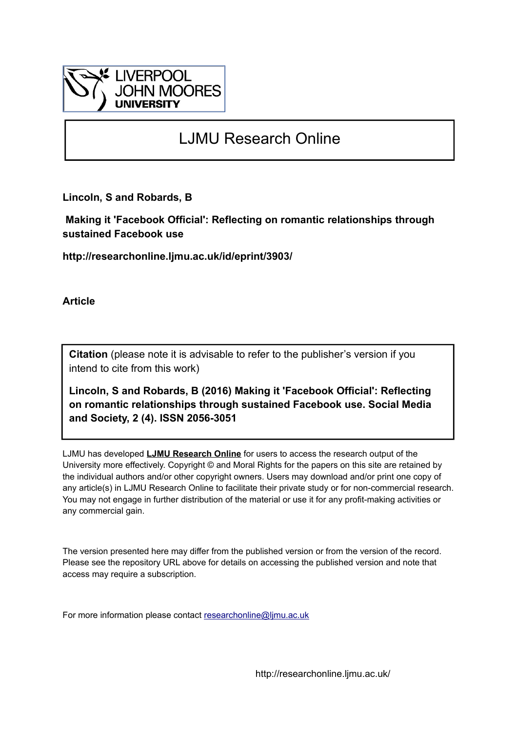

# LJMU Research Online

**Lincoln, S and Robards, B**

 **Making it 'Facebook Official': Reflecting on romantic relationships through sustained Facebook use**

**http://researchonline.ljmu.ac.uk/id/eprint/3903/**

**Article**

**Citation** (please note it is advisable to refer to the publisher's version if you intend to cite from this work)

**Lincoln, S and Robards, B (2016) Making it 'Facebook Official': Reflecting on romantic relationships through sustained Facebook use. Social Media and Society, 2 (4). ISSN 2056-3051** 

LJMU has developed **[LJMU Research Online](http://researchonline.ljmu.ac.uk/)** for users to access the research output of the University more effectively. Copyright © and Moral Rights for the papers on this site are retained by the individual authors and/or other copyright owners. Users may download and/or print one copy of any article(s) in LJMU Research Online to facilitate their private study or for non-commercial research. You may not engage in further distribution of the material or use it for any profit-making activities or any commercial gain.

The version presented here may differ from the published version or from the version of the record. Please see the repository URL above for details on accessing the published version and note that access may require a subscription.

For more information please contact [researchonline@ljmu.ac.uk](mailto:researchonline@ljmu.ac.uk)

http://researchonline.ljmu.ac.uk/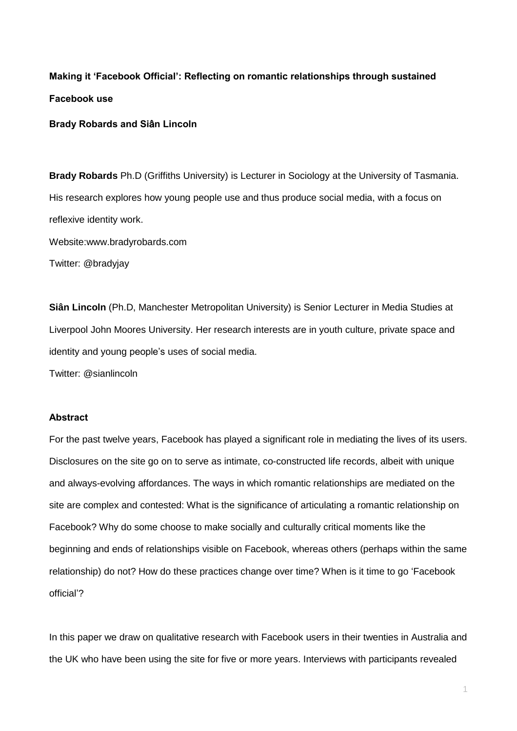## **Making it 'Facebook Official': Reflecting on romantic relationships through sustained Facebook use**

#### **Brady Robards and Si**â**n Lincoln**

**Brady Robards** Ph.D (Griffiths University) is Lecturer in Sociology at the University of Tasmania. His research explores how young people use and thus produce social media, with a focus on reflexive identity work. Website:www.bradyrobards.com

Twitter: @bradyjay

**Siân Lincoln** (Ph.D, Manchester Metropolitan University) is Senior Lecturer in Media Studies at Liverpool John Moores University. Her research interests are in youth culture, private space and identity and young people's uses of social media.

Twitter: @sianlincoln

#### **Abstract**

For the past twelve years, Facebook has played a significant role in mediating the lives of its users. Disclosures on the site go on to serve as intimate, co-constructed life records, albeit with unique and always-evolving affordances. The ways in which romantic relationships are mediated on the site are complex and contested: What is the significance of articulating a romantic relationship on Facebook? Why do some choose to make socially and culturally critical moments like the beginning and ends of relationships visible on Facebook, whereas others (perhaps within the same relationship) do not? How do these practices change over time? When is it time to go 'Facebook official'?

In this paper we draw on qualitative research with Facebook users in their twenties in Australia and the UK who have been using the site for five or more years. Interviews with participants revealed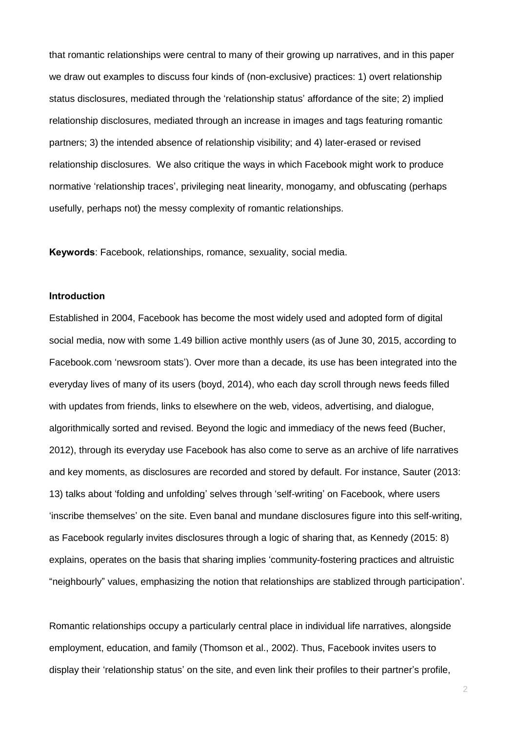that romantic relationships were central to many of their growing up narratives, and in this paper we draw out examples to discuss four kinds of (non-exclusive) practices: 1) overt relationship status disclosures, mediated through the 'relationship status' affordance of the site; 2) implied relationship disclosures, mediated through an increase in images and tags featuring romantic partners; 3) the intended absence of relationship visibility; and 4) later-erased or revised relationship disclosures. We also critique the ways in which Facebook might work to produce normative 'relationship traces', privileging neat linearity, monogamy, and obfuscating (perhaps usefully, perhaps not) the messy complexity of romantic relationships.

**Keywords**: Facebook, relationships, romance, sexuality, social media.

#### **Introduction**

Established in 2004, Facebook has become the most widely used and adopted form of digital social media, now with some 1.49 billion active monthly users (as of June 30, 2015, according to Facebook.com 'newsroom stats'). Over more than a decade, its use has been integrated into the everyday lives of many of its users (boyd, 2014), who each day scroll through news feeds filled with updates from friends, links to elsewhere on the web, videos, advertising, and dialogue, algorithmically sorted and revised. Beyond the logic and immediacy of the news feed (Bucher, 2012), through its everyday use Facebook has also come to serve as an archive of life narratives and key moments, as disclosures are recorded and stored by default. For instance, Sauter (2013: 13) talks about 'folding and unfolding' selves through 'self-writing' on Facebook, where users 'inscribe themselves' on the site. Even banal and mundane disclosures figure into this self-writing, as Facebook regularly invites disclosures through a logic of sharing that, as Kennedy (2015: 8) explains, operates on the basis that sharing implies 'community-fostering practices and altruistic "neighbourly" values, emphasizing the notion that relationships are stablized through participation'.

Romantic relationships occupy a particularly central place in individual life narratives, alongside employment, education, and family (Thomson et al., 2002). Thus, Facebook invites users to display their 'relationship status' on the site, and even link their profiles to their partner's profile,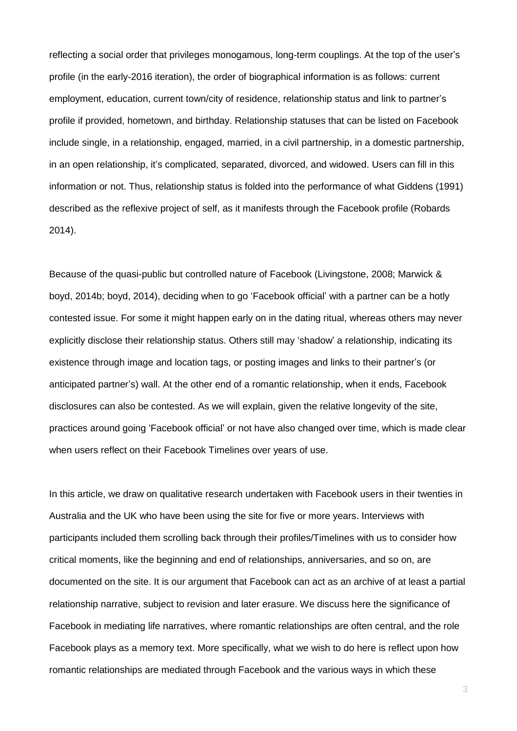reflecting a social order that privileges monogamous, long-term couplings. At the top of the user's profile (in the early-2016 iteration), the order of biographical information is as follows: current employment, education, current town/city of residence, relationship status and link to partner's profile if provided, hometown, and birthday. Relationship statuses that can be listed on Facebook include single, in a relationship, engaged, married, in a civil partnership, in a domestic partnership, in an open relationship, it's complicated, separated, divorced, and widowed. Users can fill in this information or not. Thus, relationship status is folded into the performance of what Giddens (1991) described as the reflexive project of self, as it manifests through the Facebook profile (Robards 2014).

Because of the quasi-public but controlled nature of Facebook (Livingstone, 2008; Marwick & boyd, 2014b; boyd, 2014), deciding when to go 'Facebook official' with a partner can be a hotly contested issue. For some it might happen early on in the dating ritual, whereas others may never explicitly disclose their relationship status. Others still may 'shadow' a relationship, indicating its existence through image and location tags, or posting images and links to their partner's (or anticipated partner's) wall. At the other end of a romantic relationship, when it ends, Facebook disclosures can also be contested. As we will explain, given the relative longevity of the site, practices around going 'Facebook official' or not have also changed over time, which is made clear when users reflect on their Facebook Timelines over years of use.

In this article, we draw on qualitative research undertaken with Facebook users in their twenties in Australia and the UK who have been using the site for five or more years. Interviews with participants included them scrolling back through their profiles/Timelines with us to consider how critical moments, like the beginning and end of relationships, anniversaries, and so on, are documented on the site. It is our argument that Facebook can act as an archive of at least a partial relationship narrative, subject to revision and later erasure. We discuss here the significance of Facebook in mediating life narratives, where romantic relationships are often central, and the role Facebook plays as a memory text. More specifically, what we wish to do here is reflect upon how romantic relationships are mediated through Facebook and the various ways in which these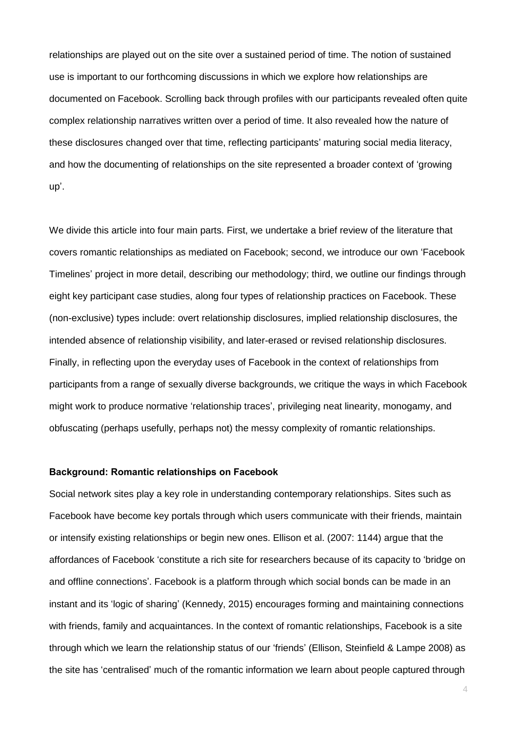relationships are played out on the site over a sustained period of time. The notion of sustained use is important to our forthcoming discussions in which we explore how relationships are documented on Facebook. Scrolling back through profiles with our participants revealed often quite complex relationship narratives written over a period of time. It also revealed how the nature of these disclosures changed over that time, reflecting participants' maturing social media literacy, and how the documenting of relationships on the site represented a broader context of 'growing up'.

We divide this article into four main parts. First, we undertake a brief review of the literature that covers romantic relationships as mediated on Facebook; second, we introduce our own 'Facebook Timelines' project in more detail, describing our methodology; third, we outline our findings through eight key participant case studies, along four types of relationship practices on Facebook. These (non-exclusive) types include: overt relationship disclosures, implied relationship disclosures, the intended absence of relationship visibility, and later-erased or revised relationship disclosures. Finally, in reflecting upon the everyday uses of Facebook in the context of relationships from participants from a range of sexually diverse backgrounds, we critique the ways in which Facebook might work to produce normative 'relationship traces', privileging neat linearity, monogamy, and obfuscating (perhaps usefully, perhaps not) the messy complexity of romantic relationships.

#### **Background: Romantic relationships on Facebook**

Social network sites play a key role in understanding contemporary relationships. Sites such as Facebook have become key portals through which users communicate with their friends, maintain or intensify existing relationships or begin new ones. Ellison et al. (2007: 1144) argue that the affordances of Facebook 'constitute a rich site for researchers because of its capacity to 'bridge on and offline connections'. Facebook is a platform through which social bonds can be made in an instant and its 'logic of sharing' (Kennedy, 2015) encourages forming and maintaining connections with friends, family and acquaintances. In the context of romantic relationships, Facebook is a site through which we learn the relationship status of our 'friends' (Ellison, Steinfield & Lampe 2008) as the site has 'centralised' much of the romantic information we learn about people captured through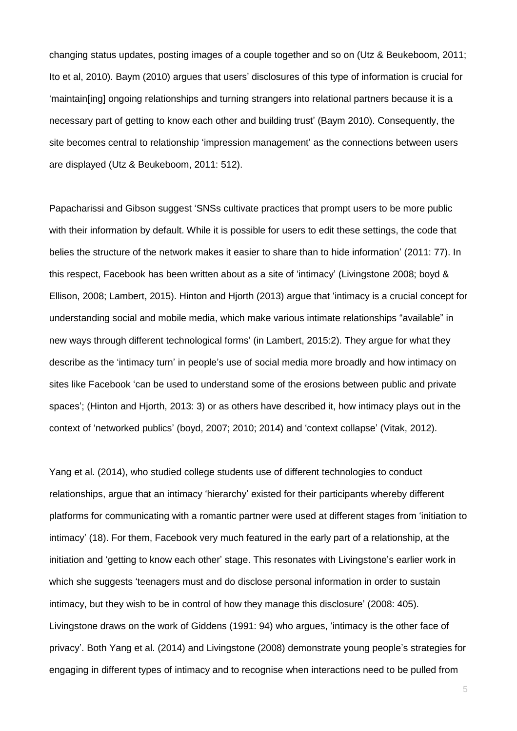changing status updates, posting images of a couple together and so on (Utz & Beukeboom, 2011; Ito et al, 2010). Baym (2010) argues that users' disclosures of this type of information is crucial for 'maintain[ing] ongoing relationships and turning strangers into relational partners because it is a necessary part of getting to know each other and building trust' (Baym 2010). Consequently, the site becomes central to relationship 'impression management' as the connections between users are displayed (Utz & Beukeboom, 2011: 512).

Papacharissi and Gibson suggest 'SNSs cultivate practices that prompt users to be more public with their information by default. While it is possible for users to edit these settings, the code that belies the structure of the network makes it easier to share than to hide information' (2011: 77). In this respect, Facebook has been written about as a site of 'intimacy' (Livingstone 2008; boyd & Ellison, 2008; Lambert, 2015). Hinton and Hjorth (2013) argue that 'intimacy is a crucial concept for understanding social and mobile media, which make various intimate relationships "available" in new ways through different technological forms' (in Lambert, 2015:2). They argue for what they describe as the 'intimacy turn' in people's use of social media more broadly and how intimacy on sites like Facebook 'can be used to understand some of the erosions between public and private spaces'; (Hinton and Hjorth, 2013: 3) or as others have described it, how intimacy plays out in the context of 'networked publics' (boyd, 2007; 2010; 2014) and 'context collapse' (Vitak, 2012).

Yang et al. (2014), who studied college students use of different technologies to conduct relationships, argue that an intimacy 'hierarchy' existed for their participants whereby different platforms for communicating with a romantic partner were used at different stages from 'initiation to intimacy' (18). For them, Facebook very much featured in the early part of a relationship, at the initiation and 'getting to know each other' stage. This resonates with Livingstone's earlier work in which she suggests 'teenagers must and do disclose personal information in order to sustain intimacy, but they wish to be in control of how they manage this disclosure' (2008: 405). Livingstone draws on the work of Giddens (1991: 94) who argues, 'intimacy is the other face of privacy'. Both Yang et al. (2014) and Livingstone (2008) demonstrate young people's strategies for engaging in different types of intimacy and to recognise when interactions need to be pulled from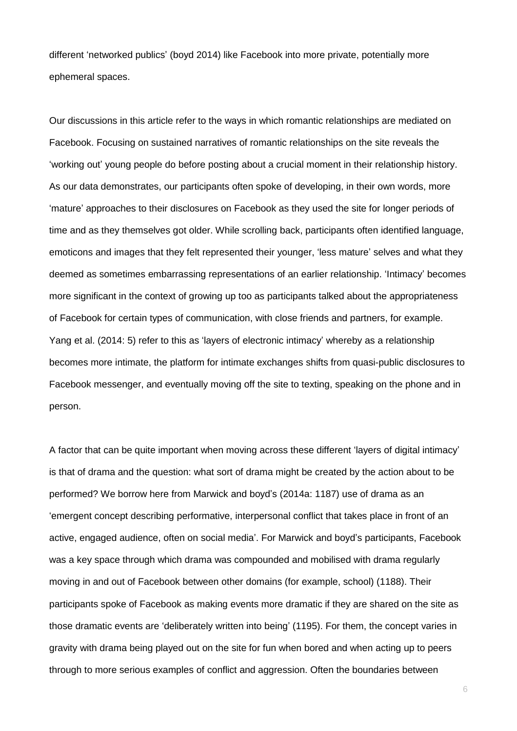different 'networked publics' (boyd 2014) like Facebook into more private, potentially more ephemeral spaces.

Our discussions in this article refer to the ways in which romantic relationships are mediated on Facebook. Focusing on sustained narratives of romantic relationships on the site reveals the 'working out' young people do before posting about a crucial moment in their relationship history. As our data demonstrates, our participants often spoke of developing, in their own words, more 'mature' approaches to their disclosures on Facebook as they used the site for longer periods of time and as they themselves got older. While scrolling back, participants often identified language, emoticons and images that they felt represented their younger, 'less mature' selves and what they deemed as sometimes embarrassing representations of an earlier relationship. 'Intimacy' becomes more significant in the context of growing up too as participants talked about the appropriateness of Facebook for certain types of communication, with close friends and partners, for example. Yang et al. (2014: 5) refer to this as 'layers of electronic intimacy' whereby as a relationship becomes more intimate, the platform for intimate exchanges shifts from quasi-public disclosures to Facebook messenger, and eventually moving off the site to texting, speaking on the phone and in person.

A factor that can be quite important when moving across these different 'layers of digital intimacy' is that of drama and the question: what sort of drama might be created by the action about to be performed? We borrow here from Marwick and boyd's (2014a: 1187) use of drama as an 'emergent concept describing performative, interpersonal conflict that takes place in front of an active, engaged audience, often on social media'. For Marwick and boyd's participants, Facebook was a key space through which drama was compounded and mobilised with drama regularly moving in and out of Facebook between other domains (for example, school) (1188). Their participants spoke of Facebook as making events more dramatic if they are shared on the site as those dramatic events are 'deliberately written into being' (1195). For them, the concept varies in gravity with drama being played out on the site for fun when bored and when acting up to peers through to more serious examples of conflict and aggression. Often the boundaries between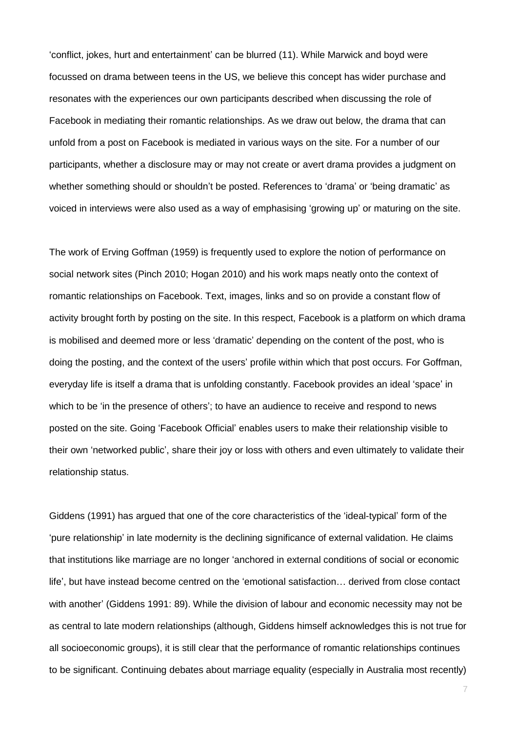'conflict, jokes, hurt and entertainment' can be blurred (11). While Marwick and boyd were focussed on drama between teens in the US, we believe this concept has wider purchase and resonates with the experiences our own participants described when discussing the role of Facebook in mediating their romantic relationships. As we draw out below, the drama that can unfold from a post on Facebook is mediated in various ways on the site. For a number of our participants, whether a disclosure may or may not create or avert drama provides a judgment on whether something should or shouldn't be posted. References to 'drama' or 'being dramatic' as voiced in interviews were also used as a way of emphasising 'growing up' or maturing on the site.

The work of Erving Goffman (1959) is frequently used to explore the notion of performance on social network sites (Pinch 2010; Hogan 2010) and his work maps neatly onto the context of romantic relationships on Facebook. Text, images, links and so on provide a constant flow of activity brought forth by posting on the site. In this respect, Facebook is a platform on which drama is mobilised and deemed more or less 'dramatic' depending on the content of the post, who is doing the posting, and the context of the users' profile within which that post occurs. For Goffman, everyday life is itself a drama that is unfolding constantly. Facebook provides an ideal 'space' in which to be 'in the presence of others'; to have an audience to receive and respond to news posted on the site. Going 'Facebook Official' enables users to make their relationship visible to their own 'networked public', share their joy or loss with others and even ultimately to validate their relationship status.

Giddens (1991) has argued that one of the core characteristics of the 'ideal-typical' form of the 'pure relationship' in late modernity is the declining significance of external validation. He claims that institutions like marriage are no longer 'anchored in external conditions of social or economic life', but have instead become centred on the 'emotional satisfaction… derived from close contact with another' (Giddens 1991: 89). While the division of labour and economic necessity may not be as central to late modern relationships (although, Giddens himself acknowledges this is not true for all socioeconomic groups), it is still clear that the performance of romantic relationships continues to be significant. Continuing debates about marriage equality (especially in Australia most recently)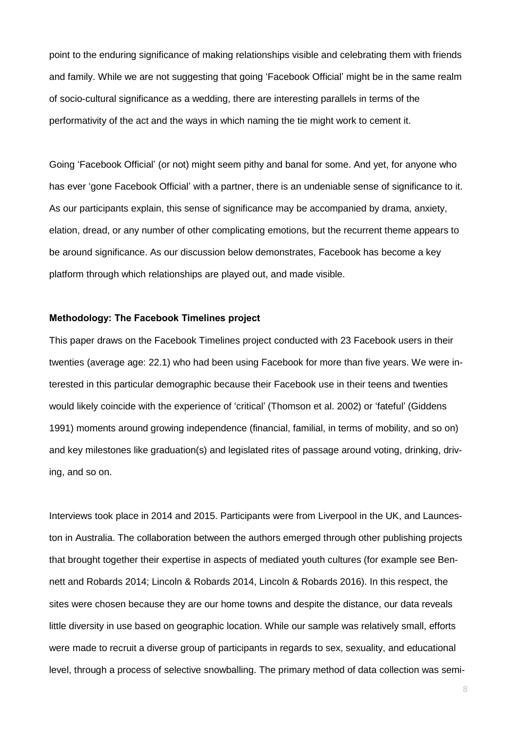point to the enduring significance of making relationships visible and celebrating them with friends and family. While we are not suggesting that going 'Facebook Official' might be in the same realm of socio-cultural significance as a wedding, there are interesting parallels in terms of the performativity of the act and the ways in which naming the tie might work to cement it.

Going 'Facebook Official' (or not) might seem pithy and banal for some. And yet, for anyone who has ever 'gone Facebook Official' with a partner, there is an undeniable sense of significance to it. As our participants explain, this sense of significance may be accompanied by drama, anxiety, elation, dread, or any number of other complicating emotions, but the recurrent theme appears to be around significance. As our discussion below demonstrates, Facebook has become a key platform through which relationships are played out, and made visible.

## **Methodology: The Facebook Timelines project**

This paper draws on the Facebook Timelines project conducted with 23 Facebook users in their twenties (average age: 22.1) who had been using Facebook for more than five years. We were interested in this particular demographic because their Facebook use in their teens and twenties would likely coincide with the experience of 'critical' (Thomson et al. 2002) or 'fateful' (Giddens 1991) moments around growing independence (financial, familial, in terms of mobility, and so on) and key milestones like graduation(s) and legislated rites of passage around voting, drinking, driving, and so on.

Interviews took place in 2014 and 2015. Participants were from Liverpool in the UK, and Launceston in Australia. The collaboration between the authors emerged through other publishing projects that brought together their expertise in aspects of mediated youth cultures (for example see Bennett and Robards 2014; Lincoln & Robards 2014, Lincoln & Robards 2016). In this respect, the sites were chosen because they are our home towns and despite the distance, our data reveals little diversity in use based on geographic location. While our sample was relatively small, efforts were made to recruit a diverse group of participants in regards to sex, sexuality, and educational level, through a process of selective snowballing. The primary method of data collection was semi-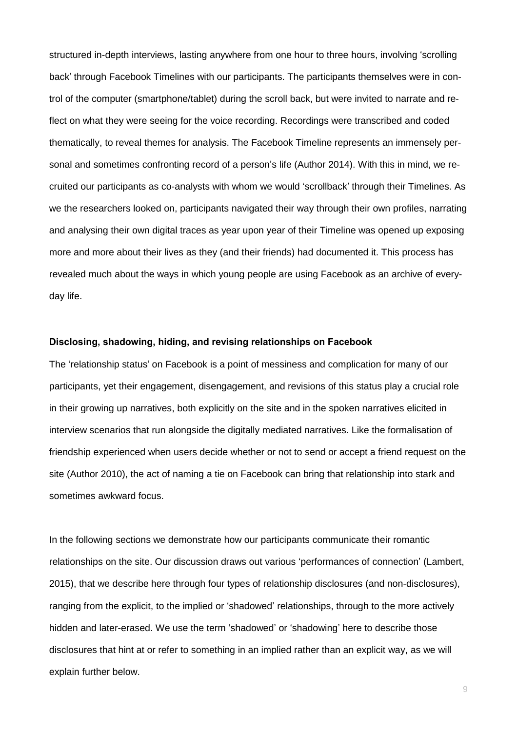structured in-depth interviews, lasting anywhere from one hour to three hours, involving 'scrolling back' through Facebook Timelines with our participants. The participants themselves were in control of the computer (smartphone/tablet) during the scroll back, but were invited to narrate and reflect on what they were seeing for the voice recording. Recordings were transcribed and coded thematically, to reveal themes for analysis. The Facebook Timeline represents an immensely personal and sometimes confronting record of a person's life (Author 2014). With this in mind, we recruited our participants as co-analysts with whom we would 'scrollback' through their Timelines. As we the researchers looked on, participants navigated their way through their own profiles, narrating and analysing their own digital traces as year upon year of their Timeline was opened up exposing more and more about their lives as they (and their friends) had documented it. This process has revealed much about the ways in which young people are using Facebook as an archive of everyday life.

#### **Disclosing, shadowing, hiding, and revising relationships on Facebook**

The 'relationship status' on Facebook is a point of messiness and complication for many of our participants, yet their engagement, disengagement, and revisions of this status play a crucial role in their growing up narratives, both explicitly on the site and in the spoken narratives elicited in interview scenarios that run alongside the digitally mediated narratives. Like the formalisation of friendship experienced when users decide whether or not to send or accept a friend request on the site (Author 2010), the act of naming a tie on Facebook can bring that relationship into stark and sometimes awkward focus.

In the following sections we demonstrate how our participants communicate their romantic relationships on the site. Our discussion draws out various 'performances of connection' (Lambert, 2015), that we describe here through four types of relationship disclosures (and non-disclosures), ranging from the explicit, to the implied or 'shadowed' relationships, through to the more actively hidden and later-erased. We use the term 'shadowed' or 'shadowing' here to describe those disclosures that hint at or refer to something in an implied rather than an explicit way, as we will explain further below.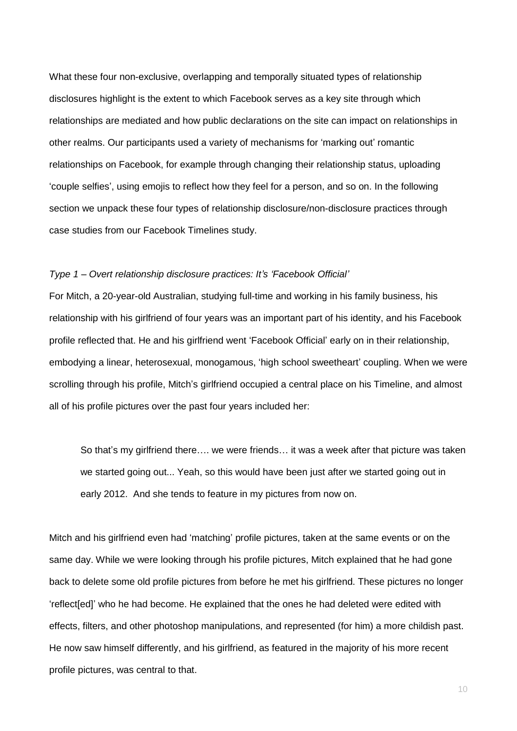What these four non-exclusive, overlapping and temporally situated types of relationship disclosures highlight is the extent to which Facebook serves as a key site through which relationships are mediated and how public declarations on the site can impact on relationships in other realms. Our participants used a variety of mechanisms for 'marking out' romantic relationships on Facebook, for example through changing their relationship status, uploading 'couple selfies', using emojis to reflect how they feel for a person, and so on. In the following section we unpack these four types of relationship disclosure/non-disclosure practices through case studies from our Facebook Timelines study.

#### *Type 1 – Overt relationship disclosure practices: It's 'Facebook Official'*

For Mitch, a 20-year-old Australian, studying full-time and working in his family business, his relationship with his girlfriend of four years was an important part of his identity, and his Facebook profile reflected that. He and his girlfriend went 'Facebook Official' early on in their relationship, embodying a linear, heterosexual, monogamous, 'high school sweetheart' coupling. When we were scrolling through his profile, Mitch's girlfriend occupied a central place on his Timeline, and almost all of his profile pictures over the past four years included her:

So that's my girlfriend there…. we were friends… it was a week after that picture was taken we started going out... Yeah, so this would have been just after we started going out in early 2012. And she tends to feature in my pictures from now on.

Mitch and his girlfriend even had 'matching' profile pictures, taken at the same events or on the same day. While we were looking through his profile pictures, Mitch explained that he had gone back to delete some old profile pictures from before he met his girlfriend. These pictures no longer 'reflect[ed]' who he had become. He explained that the ones he had deleted were edited with effects, filters, and other photoshop manipulations, and represented (for him) a more childish past. He now saw himself differently, and his girlfriend, as featured in the majority of his more recent profile pictures, was central to that.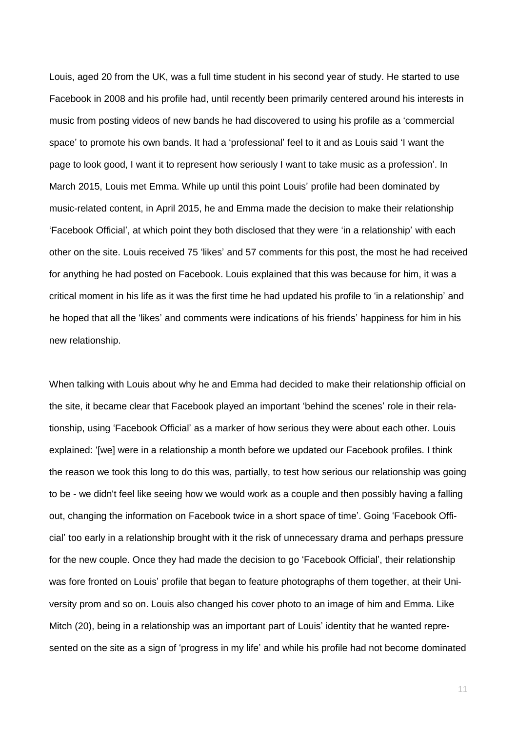Louis, aged 20 from the UK, was a full time student in his second year of study. He started to use Facebook in 2008 and his profile had, until recently been primarily centered around his interests in music from posting videos of new bands he had discovered to using his profile as a 'commercial space' to promote his own bands. It had a 'professional' feel to it and as Louis said 'I want the page to look good, I want it to represent how seriously I want to take music as a profession'. In March 2015, Louis met Emma. While up until this point Louis' profile had been dominated by music-related content, in April 2015, he and Emma made the decision to make their relationship 'Facebook Official', at which point they both disclosed that they were 'in a relationship' with each other on the site. Louis received 75 'likes' and 57 comments for this post, the most he had received for anything he had posted on Facebook. Louis explained that this was because for him, it was a critical moment in his life as it was the first time he had updated his profile to 'in a relationship' and he hoped that all the 'likes' and comments were indications of his friends' happiness for him in his new relationship.

When talking with Louis about why he and Emma had decided to make their relationship official on the site, it became clear that Facebook played an important 'behind the scenes' role in their relationship, using 'Facebook Official' as a marker of how serious they were about each other. Louis explained: '[we] were in a relationship a month before we updated our Facebook profiles. I think the reason we took this long to do this was, partially, to test how serious our relationship was going to be - we didn't feel like seeing how we would work as a couple and then possibly having a falling out, changing the information on Facebook twice in a short space of time'. Going 'Facebook Official' too early in a relationship brought with it the risk of unnecessary drama and perhaps pressure for the new couple. Once they had made the decision to go 'Facebook Official', their relationship was fore fronted on Louis' profile that began to feature photographs of them together, at their University prom and so on. Louis also changed his cover photo to an image of him and Emma. Like Mitch (20), being in a relationship was an important part of Louis' identity that he wanted represented on the site as a sign of 'progress in my life' and while his profile had not become dominated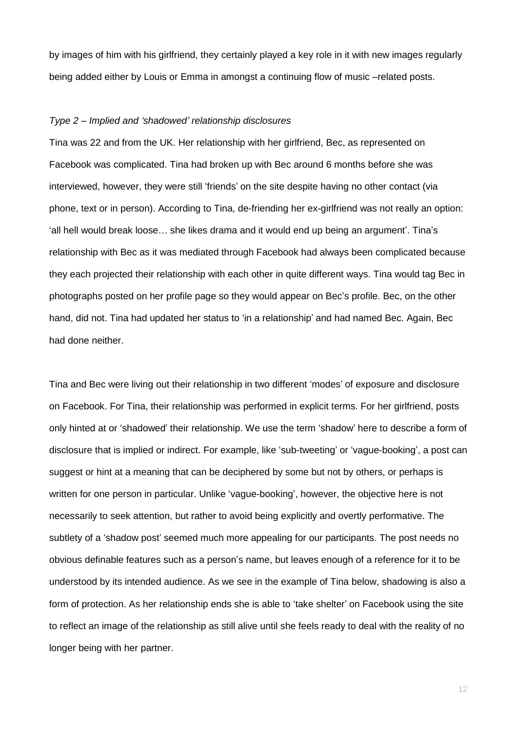by images of him with his girlfriend, they certainly played a key role in it with new images regularly being added either by Louis or Emma in amongst a continuing flow of music –related posts.

#### *Type 2 – Implied and 'shadowed' relationship disclosures*

Tina was 22 and from the UK. Her relationship with her girlfriend, Bec, as represented on Facebook was complicated. Tina had broken up with Bec around 6 months before she was interviewed, however, they were still 'friends' on the site despite having no other contact (via phone, text or in person). According to Tina, de-friending her ex-girlfriend was not really an option: 'all hell would break loose… she likes drama and it would end up being an argument'. Tina's relationship with Bec as it was mediated through Facebook had always been complicated because they each projected their relationship with each other in quite different ways. Tina would tag Bec in photographs posted on her profile page so they would appear on Bec's profile. Bec, on the other hand, did not. Tina had updated her status to 'in a relationship' and had named Bec. Again, Bec had done neither.

Tina and Bec were living out their relationship in two different 'modes' of exposure and disclosure on Facebook. For Tina, their relationship was performed in explicit terms. For her girlfriend, posts only hinted at or 'shadowed' their relationship. We use the term 'shadow' here to describe a form of disclosure that is implied or indirect. For example, like 'sub-tweeting' or 'vague-booking', a post can suggest or hint at a meaning that can be deciphered by some but not by others, or perhaps is written for one person in particular. Unlike 'vague-booking', however, the objective here is not necessarily to seek attention, but rather to avoid being explicitly and overtly performative. The subtlety of a 'shadow post' seemed much more appealing for our participants. The post needs no obvious definable features such as a person's name, but leaves enough of a reference for it to be understood by its intended audience. As we see in the example of Tina below, shadowing is also a form of protection. As her relationship ends she is able to 'take shelter' on Facebook using the site to reflect an image of the relationship as still alive until she feels ready to deal with the reality of no longer being with her partner.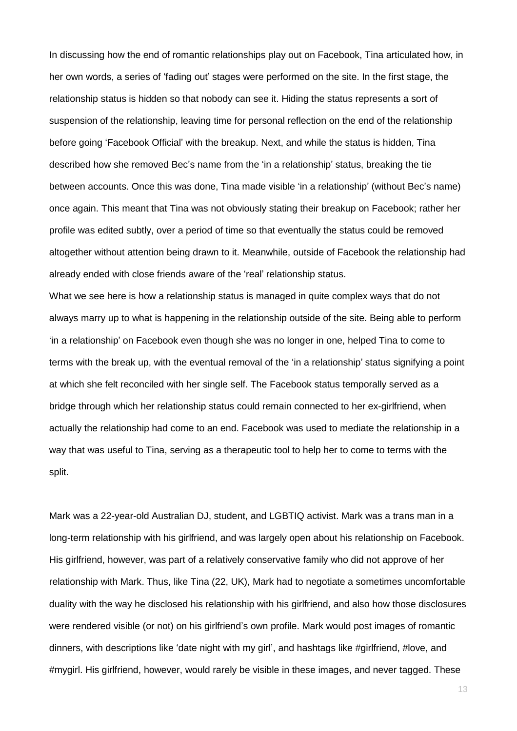In discussing how the end of romantic relationships play out on Facebook, Tina articulated how, in her own words, a series of 'fading out' stages were performed on the site. In the first stage, the relationship status is hidden so that nobody can see it. Hiding the status represents a sort of suspension of the relationship, leaving time for personal reflection on the end of the relationship before going 'Facebook Official' with the breakup. Next, and while the status is hidden, Tina described how she removed Bec's name from the 'in a relationship' status, breaking the tie between accounts. Once this was done, Tina made visible 'in a relationship' (without Bec's name) once again. This meant that Tina was not obviously stating their breakup on Facebook; rather her profile was edited subtly, over a period of time so that eventually the status could be removed altogether without attention being drawn to it. Meanwhile, outside of Facebook the relationship had already ended with close friends aware of the 'real' relationship status.

What we see here is how a relationship status is managed in quite complex ways that do not always marry up to what is happening in the relationship outside of the site. Being able to perform 'in a relationship' on Facebook even though she was no longer in one, helped Tina to come to terms with the break up, with the eventual removal of the 'in a relationship' status signifying a point at which she felt reconciled with her single self. The Facebook status temporally served as a bridge through which her relationship status could remain connected to her ex-girlfriend, when actually the relationship had come to an end. Facebook was used to mediate the relationship in a way that was useful to Tina, serving as a therapeutic tool to help her to come to terms with the split.

Mark was a 22-year-old Australian DJ, student, and LGBTIQ activist. Mark was a trans man in a long-term relationship with his girlfriend, and was largely open about his relationship on Facebook. His girlfriend, however, was part of a relatively conservative family who did not approve of her relationship with Mark. Thus, like Tina (22, UK), Mark had to negotiate a sometimes uncomfortable duality with the way he disclosed his relationship with his girlfriend, and also how those disclosures were rendered visible (or not) on his girlfriend's own profile. Mark would post images of romantic dinners, with descriptions like 'date night with my girl', and hashtags like #girlfriend, #love, and #mygirl. His girlfriend, however, would rarely be visible in these images, and never tagged. These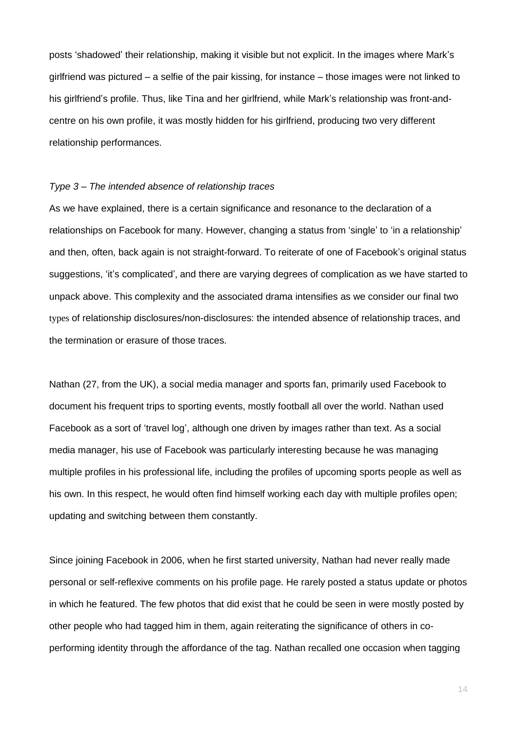posts 'shadowed' their relationship, making it visible but not explicit. In the images where Mark's girlfriend was pictured – a selfie of the pair kissing, for instance – those images were not linked to his girlfriend's profile. Thus, like Tina and her girlfriend, while Mark's relationship was front-andcentre on his own profile, it was mostly hidden for his girlfriend, producing two very different relationship performances.

### *Type 3 – The intended absence of relationship traces*

As we have explained, there is a certain significance and resonance to the declaration of a relationships on Facebook for many. However, changing a status from 'single' to 'in a relationship' and then, often, back again is not straight-forward. To reiterate of one of Facebook's original status suggestions, 'it's complicated', and there are varying degrees of complication as we have started to unpack above. This complexity and the associated drama intensifies as we consider our final two types of relationship disclosures/non-disclosures: the intended absence of relationship traces, and the termination or erasure of those traces.

Nathan (27, from the UK), a social media manager and sports fan, primarily used Facebook to document his frequent trips to sporting events, mostly football all over the world. Nathan used Facebook as a sort of 'travel log', although one driven by images rather than text. As a social media manager, his use of Facebook was particularly interesting because he was managing multiple profiles in his professional life, including the profiles of upcoming sports people as well as his own. In this respect, he would often find himself working each day with multiple profiles open; updating and switching between them constantly.

Since joining Facebook in 2006, when he first started university, Nathan had never really made personal or self-reflexive comments on his profile page. He rarely posted a status update or photos in which he featured. The few photos that did exist that he could be seen in were mostly posted by other people who had tagged him in them, again reiterating the significance of others in coperforming identity through the affordance of the tag. Nathan recalled one occasion when tagging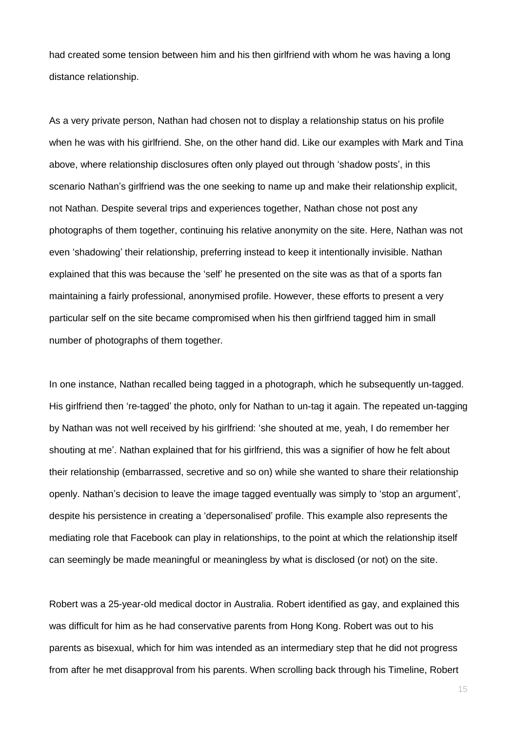had created some tension between him and his then girlfriend with whom he was having a long distance relationship.

As a very private person, Nathan had chosen not to display a relationship status on his profile when he was with his girlfriend. She, on the other hand did. Like our examples with Mark and Tina above, where relationship disclosures often only played out through 'shadow posts', in this scenario Nathan's girlfriend was the one seeking to name up and make their relationship explicit, not Nathan. Despite several trips and experiences together, Nathan chose not post any photographs of them together, continuing his relative anonymity on the site. Here, Nathan was not even 'shadowing' their relationship, preferring instead to keep it intentionally invisible. Nathan explained that this was because the 'self' he presented on the site was as that of a sports fan maintaining a fairly professional, anonymised profile. However, these efforts to present a very particular self on the site became compromised when his then girlfriend tagged him in small number of photographs of them together.

In one instance, Nathan recalled being tagged in a photograph, which he subsequently un-tagged. His girlfriend then 're-tagged' the photo, only for Nathan to un-tag it again. The repeated un-tagging by Nathan was not well received by his girlfriend: 'she shouted at me, yeah, I do remember her shouting at me'. Nathan explained that for his girlfriend, this was a signifier of how he felt about their relationship (embarrassed, secretive and so on) while she wanted to share their relationship openly. Nathan's decision to leave the image tagged eventually was simply to 'stop an argument', despite his persistence in creating a 'depersonalised' profile. This example also represents the mediating role that Facebook can play in relationships, to the point at which the relationship itself can seemingly be made meaningful or meaningless by what is disclosed (or not) on the site.

Robert was a 25-year-old medical doctor in Australia. Robert identified as gay, and explained this was difficult for him as he had conservative parents from Hong Kong. Robert was out to his parents as bisexual, which for him was intended as an intermediary step that he did not progress from after he met disapproval from his parents. When scrolling back through his Timeline, Robert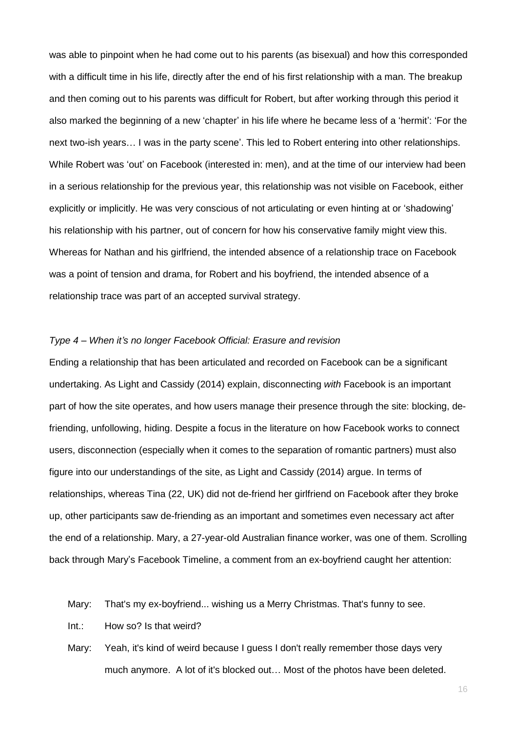was able to pinpoint when he had come out to his parents (as bisexual) and how this corresponded with a difficult time in his life, directly after the end of his first relationship with a man. The breakup and then coming out to his parents was difficult for Robert, but after working through this period it also marked the beginning of a new 'chapter' in his life where he became less of a 'hermit': 'For the next two-ish years… I was in the party scene'. This led to Robert entering into other relationships. While Robert was 'out' on Facebook (interested in: men), and at the time of our interview had been in a serious relationship for the previous year, this relationship was not visible on Facebook, either explicitly or implicitly. He was very conscious of not articulating or even hinting at or 'shadowing' his relationship with his partner, out of concern for how his conservative family might view this. Whereas for Nathan and his girlfriend, the intended absence of a relationship trace on Facebook was a point of tension and drama, for Robert and his boyfriend, the intended absence of a relationship trace was part of an accepted survival strategy.

## *Type 4 – When it's no longer Facebook Official: Erasure and revision*

Ending a relationship that has been articulated and recorded on Facebook can be a significant undertaking. As Light and Cassidy (2014) explain, disconnecting *with* Facebook is an important part of how the site operates, and how users manage their presence through the site: blocking, defriending, unfollowing, hiding. Despite a focus in the literature on how Facebook works to connect users, disconnection (especially when it comes to the separation of romantic partners) must also figure into our understandings of the site, as Light and Cassidy (2014) argue. In terms of relationships, whereas Tina (22, UK) did not de-friend her girlfriend on Facebook after they broke up, other participants saw de-friending as an important and sometimes even necessary act after the end of a relationship. Mary, a 27-year-old Australian finance worker, was one of them. Scrolling back through Mary's Facebook Timeline, a comment from an ex-boyfriend caught her attention:

Mary: That's my ex-boyfriend... wishing us a Merry Christmas. That's funny to see.

- Int.: How so? Is that weird?
- Mary: Yeah, it's kind of weird because I guess I don't really remember those days very much anymore. A lot of it's blocked out… Most of the photos have been deleted.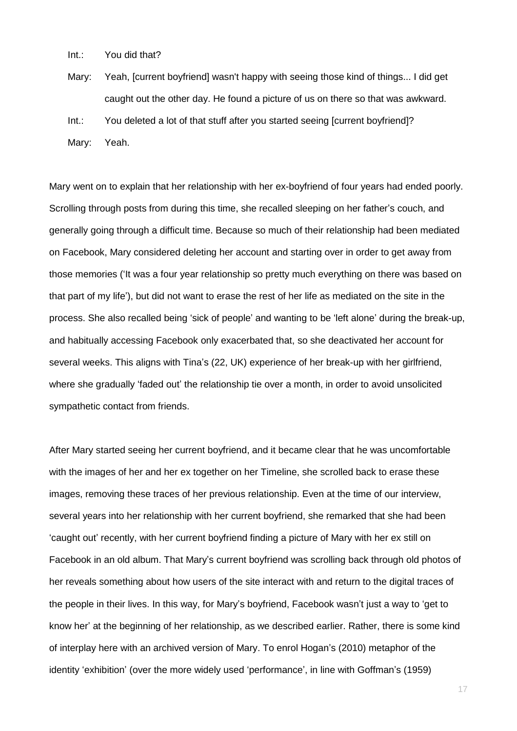Int.: You did that?

Mary: Yeah, [current boyfriend] wasn't happy with seeing those kind of things... I did get caught out the other day. He found a picture of us on there so that was awkward.

Int.: You deleted a lot of that stuff after you started seeing [current boyfriend]?

Mary: Yeah.

Mary went on to explain that her relationship with her ex-boyfriend of four years had ended poorly. Scrolling through posts from during this time, she recalled sleeping on her father's couch, and generally going through a difficult time. Because so much of their relationship had been mediated on Facebook, Mary considered deleting her account and starting over in order to get away from those memories ('It was a four year relationship so pretty much everything on there was based on that part of my life'), but did not want to erase the rest of her life as mediated on the site in the process. She also recalled being 'sick of people' and wanting to be 'left alone' during the break-up, and habitually accessing Facebook only exacerbated that, so she deactivated her account for several weeks. This aligns with Tina's (22, UK) experience of her break-up with her girlfriend, where she gradually 'faded out' the relationship tie over a month, in order to avoid unsolicited sympathetic contact from friends.

After Mary started seeing her current boyfriend, and it became clear that he was uncomfortable with the images of her and her ex together on her Timeline, she scrolled back to erase these images, removing these traces of her previous relationship. Even at the time of our interview, several years into her relationship with her current boyfriend, she remarked that she had been 'caught out' recently, with her current boyfriend finding a picture of Mary with her ex still on Facebook in an old album. That Mary's current boyfriend was scrolling back through old photos of her reveals something about how users of the site interact with and return to the digital traces of the people in their lives. In this way, for Mary's boyfriend, Facebook wasn't just a way to 'get to know her' at the beginning of her relationship, as we described earlier. Rather, there is some kind of interplay here with an archived version of Mary. To enrol Hogan's (2010) metaphor of the identity 'exhibition' (over the more widely used 'performance', in line with Goffman's (1959)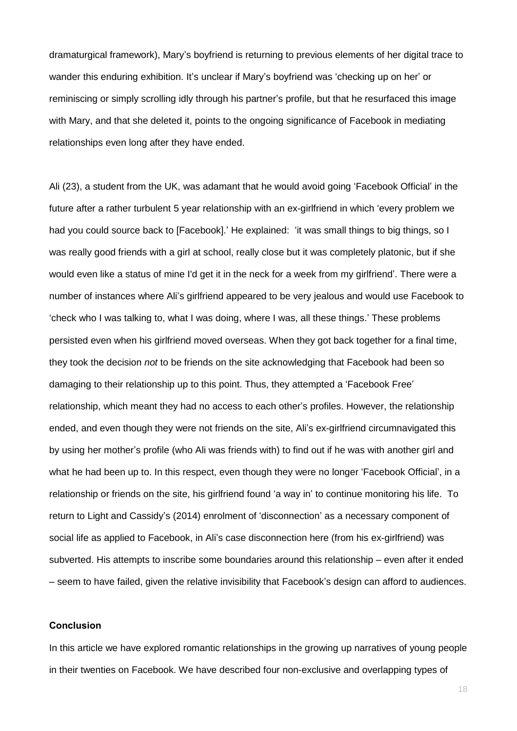dramaturgical framework), Mary's boyfriend is returning to previous elements of her digital trace to wander this enduring exhibition. It's unclear if Mary's boyfriend was 'checking up on her' or reminiscing or simply scrolling idly through his partner's profile, but that he resurfaced this image with Mary, and that she deleted it, points to the ongoing significance of Facebook in mediating relationships even long after they have ended.

Ali (23), a student from the UK, was adamant that he would avoid going 'Facebook Official' in the future after a rather turbulent 5 year relationship with an ex-girlfriend in which 'every problem we had you could source back to [Facebook].' He explained: 'it was small things to big things, so I was really good friends with a girl at school, really close but it was completely platonic, but if she would even like a status of mine I'd get it in the neck for a week from my girlfriend'. There were a number of instances where Ali's girlfriend appeared to be very jealous and would use Facebook to 'check who I was talking to, what I was doing, where I was, all these things.' These problems persisted even when his girlfriend moved overseas. When they got back together for a final time, they took the decision *not* to be friends on the site acknowledging that Facebook had been so damaging to their relationship up to this point. Thus, they attempted a 'Facebook Free' relationship, which meant they had no access to each other's profiles. However, the relationship ended, and even though they were not friends on the site, Ali's ex-girlfriend circumnavigated this by using her mother's profile (who Ali was friends with) to find out if he was with another girl and what he had been up to. In this respect, even though they were no longer 'Facebook Official', in a relationship or friends on the site, his girlfriend found 'a way in' to continue monitoring his life. To return to Light and Cassidy's (2014) enrolment of 'disconnection' as a necessary component of social life as applied to Facebook, in Ali's case disconnection here (from his ex-girlfriend) was subverted. His attempts to inscribe some boundaries around this relationship – even after it ended – seem to have failed, given the relative invisibility that Facebook's design can afford to audiences.

#### **Conclusion**

In this article we have explored romantic relationships in the growing up narratives of young people in their twenties on Facebook. We have described four non-exclusive and overlapping types of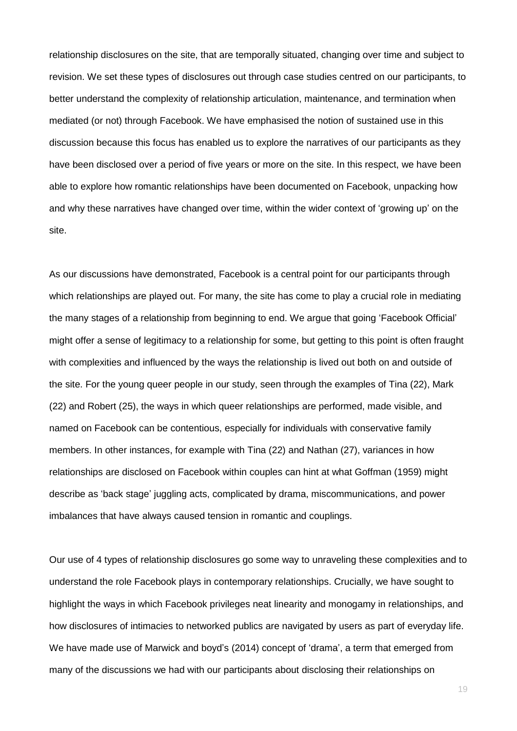relationship disclosures on the site, that are temporally situated, changing over time and subject to revision. We set these types of disclosures out through case studies centred on our participants, to better understand the complexity of relationship articulation, maintenance, and termination when mediated (or not) through Facebook. We have emphasised the notion of sustained use in this discussion because this focus has enabled us to explore the narratives of our participants as they have been disclosed over a period of five years or more on the site. In this respect, we have been able to explore how romantic relationships have been documented on Facebook, unpacking how and why these narratives have changed over time, within the wider context of 'growing up' on the site.

As our discussions have demonstrated, Facebook is a central point for our participants through which relationships are played out. For many, the site has come to play a crucial role in mediating the many stages of a relationship from beginning to end. We argue that going 'Facebook Official' might offer a sense of legitimacy to a relationship for some, but getting to this point is often fraught with complexities and influenced by the ways the relationship is lived out both on and outside of the site. For the young queer people in our study, seen through the examples of Tina (22), Mark (22) and Robert (25), the ways in which queer relationships are performed, made visible, and named on Facebook can be contentious, especially for individuals with conservative family members. In other instances, for example with Tina (22) and Nathan (27), variances in how relationships are disclosed on Facebook within couples can hint at what Goffman (1959) might describe as 'back stage' juggling acts, complicated by drama, miscommunications, and power imbalances that have always caused tension in romantic and couplings.

Our use of 4 types of relationship disclosures go some way to unraveling these complexities and to understand the role Facebook plays in contemporary relationships. Crucially, we have sought to highlight the ways in which Facebook privileges neat linearity and monogamy in relationships, and how disclosures of intimacies to networked publics are navigated by users as part of everyday life. We have made use of Marwick and boyd's (2014) concept of 'drama', a term that emerged from many of the discussions we had with our participants about disclosing their relationships on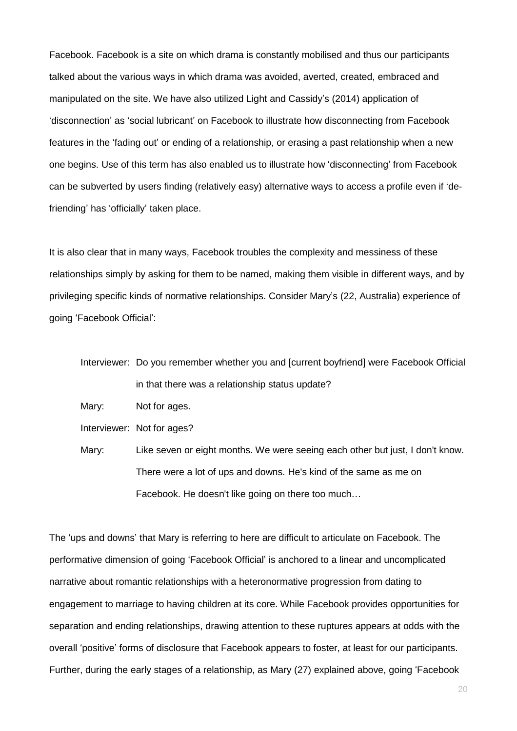Facebook. Facebook is a site on which drama is constantly mobilised and thus our participants talked about the various ways in which drama was avoided, averted, created, embraced and manipulated on the site. We have also utilized Light and Cassidy's (2014) application of 'disconnection' as 'social lubricant' on Facebook to illustrate how disconnecting from Facebook features in the 'fading out' or ending of a relationship, or erasing a past relationship when a new one begins. Use of this term has also enabled us to illustrate how 'disconnecting' from Facebook can be subverted by users finding (relatively easy) alternative ways to access a profile even if 'defriending' has 'officially' taken place.

It is also clear that in many ways, Facebook troubles the complexity and messiness of these relationships simply by asking for them to be named, making them visible in different ways, and by privileging specific kinds of normative relationships. Consider Mary's (22, Australia) experience of going 'Facebook Official':

- Interviewer: Do you remember whether you and [current boyfriend] were Facebook Official in that there was a relationship status update?
- Mary: Not for ages.

Interviewer: Not for ages?

Mary: Like seven or eight months. We were seeing each other but just, I don't know. There were a lot of ups and downs. He's kind of the same as me on Facebook. He doesn't like going on there too much…

The 'ups and downs' that Mary is referring to here are difficult to articulate on Facebook. The performative dimension of going 'Facebook Official' is anchored to a linear and uncomplicated narrative about romantic relationships with a heteronormative progression from dating to engagement to marriage to having children at its core. While Facebook provides opportunities for separation and ending relationships, drawing attention to these ruptures appears at odds with the overall 'positive' forms of disclosure that Facebook appears to foster, at least for our participants. Further, during the early stages of a relationship, as Mary (27) explained above, going 'Facebook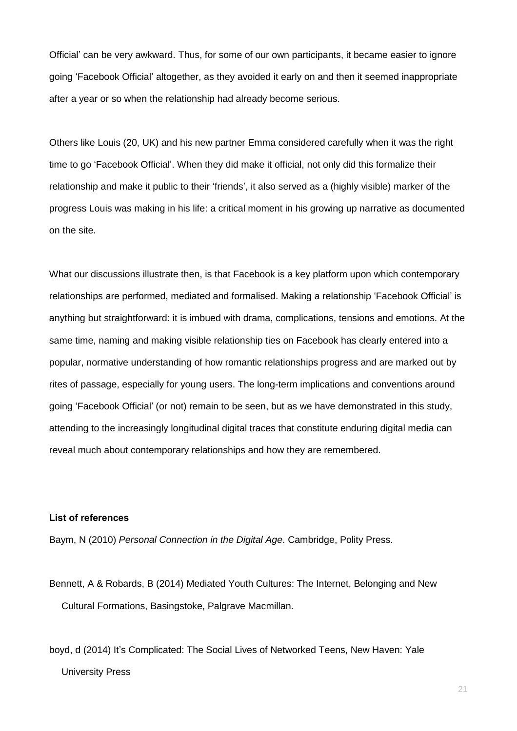Official' can be very awkward. Thus, for some of our own participants, it became easier to ignore going 'Facebook Official' altogether, as they avoided it early on and then it seemed inappropriate after a year or so when the relationship had already become serious.

Others like Louis (20, UK) and his new partner Emma considered carefully when it was the right time to go 'Facebook Official'. When they did make it official, not only did this formalize their relationship and make it public to their 'friends', it also served as a (highly visible) marker of the progress Louis was making in his life: a critical moment in his growing up narrative as documented on the site.

What our discussions illustrate then, is that Facebook is a key platform upon which contemporary relationships are performed, mediated and formalised. Making a relationship 'Facebook Official' is anything but straightforward: it is imbued with drama, complications, tensions and emotions. At the same time, naming and making visible relationship ties on Facebook has clearly entered into a popular, normative understanding of how romantic relationships progress and are marked out by rites of passage, especially for young users. The long-term implications and conventions around going 'Facebook Official' (or not) remain to be seen, but as we have demonstrated in this study, attending to the increasingly longitudinal digital traces that constitute enduring digital media can reveal much about contemporary relationships and how they are remembered.

## **List of references**

Baym, N (2010) *Personal Connection in the Digital Age*. Cambridge, Polity Press.

Bennett, A & Robards, B (2014) Mediated Youth Cultures: The Internet, Belonging and New Cultural Formations, Basingstoke, Palgrave Macmillan.

boyd, d (2014) It's Complicated: The Social Lives of Networked Teens, New Haven: Yale University Press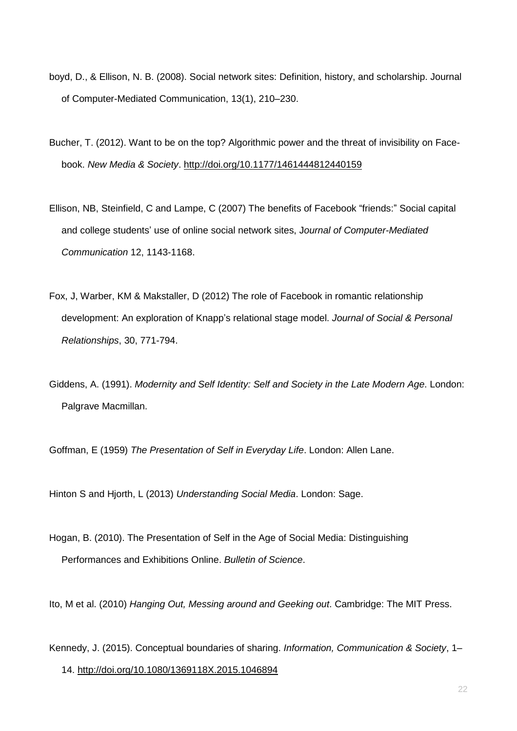- boyd, D., & Ellison, N. B. (2008). Social network sites: Definition, history, and scholarship. Journal of Computer-Mediated Communication, 13(1), 210–230.
- Bucher, T. (2012). Want to be on the top? Algorithmic power and the threat of invisibility on Facebook. *New Media & Society*. <http://doi.org/10.1177/1461444812440159>
- Ellison, NB, Steinfield, C and Lampe, C (2007) The benefits of Facebook "friends:" Social capital and college students' use of online social network sites, J*ournal of Computer-Mediated Communication* 12, 1143-1168.
- Fox, J, Warber, KM & Makstaller, D (2012) The role of Facebook in romantic relationship development: An exploration of Knapp's relational stage model. *Journal of Social & Personal Relationships*, 30, 771-794.
- Giddens, A. (1991). *Modernity and Self Identity: Self and Society in the Late Modern Age*. London: Palgrave Macmillan.

Goffman, E (1959) *The Presentation of Self in Everyday Life*. London: Allen Lane.

Hinton S and Hjorth, L (2013) *Understanding Social Media*. London: Sage.

Hogan, B. (2010). The Presentation of Self in the Age of Social Media: Distinguishing Performances and Exhibitions Online. *Bulletin of Science*.

Ito, M et al. (2010) *Hanging Out, Messing around and Geeking out*. Cambridge: The MIT Press.

Kennedy, J. (2015). Conceptual boundaries of sharing. *Information, Communication & Society*, 1– 14. <http://doi.org/10.1080/1369118X.2015.1046894>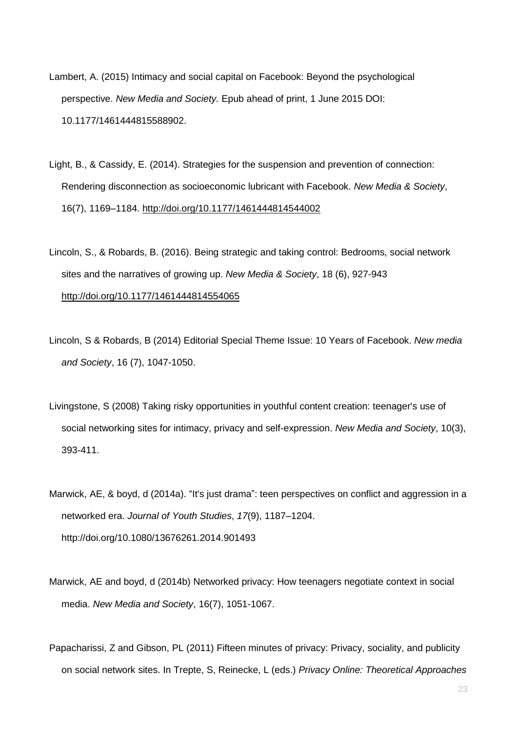- Lambert, A. (2015) Intimacy and social capital on Facebook: Beyond the psychological perspective. *New Media and Society.* Epub ahead of print, 1 June 2015 DOI: 10.1177/1461444815588902.
- Light, B., & Cassidy, E. (2014). Strategies for the suspension and prevention of connection: Rendering disconnection as socioeconomic lubricant with Facebook. *New Media & Society*, 16(7), 1169–1184. <http://doi.org/10.1177/1461444814544002>
- Lincoln, S., & Robards, B. (2016). Being strategic and taking control: Bedrooms, social network sites and the narratives of growing up. *New Media & Society*, 18 (6), 927-943 <http://doi.org/10.1177/1461444814554065>
- Lincoln, S & Robards, B (2014) Editorial Special Theme Issue: 10 Years of Facebook. *New media and Society*, 16 (7), 1047-1050.
- Livingstone, S (2008) Taking risky opportunities in youthful content creation: teenager's use of social networking sites for intimacy, privacy and self-expression. *New Media and Society*, 10(3), 393-411.
- Marwick, AE, & boyd, d (2014a). "It's just drama": teen perspectives on conflict and aggression in a networked era. *Journal of Youth Studies*, *17*(9), 1187–1204. http://doi.org/10.1080/13676261.2014.901493
- Marwick, AE and boyd, d (2014b) Networked privacy: How teenagers negotiate context in social media. *New Media and Society*, 16(7), 1051-1067.
- Papacharissi, Z and Gibson, PL (2011) Fifteen minutes of privacy: Privacy, sociality, and publicity on social network sites. In Trepte, S, Reinecke, L (eds.) *Privacy Online: Theoretical Approaches*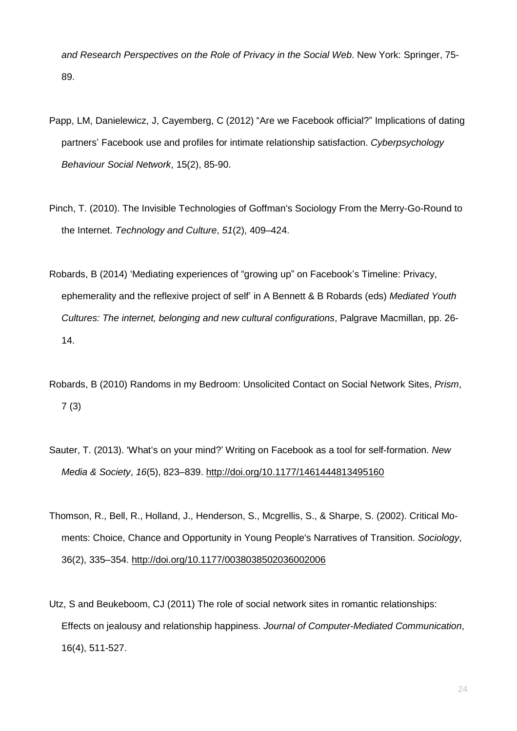*and Research Perspectives on the Role of Privacy in the Social Web*. New York: Springer, 75- 89.

- Papp, LM, Danielewicz, J, Cayemberg, C (2012) "Are we Facebook official?" Implications of dating partners' Facebook use and profiles for intimate relationship satisfaction. *Cyberpsychology Behaviour Social Network*, 15(2), 85-90.
- Pinch, T. (2010). The Invisible Technologies of Goffman's Sociology From the Merry-Go-Round to the Internet. *Technology and Culture*, *51*(2), 409–424.
- Robards, B (2014) 'Mediating experiences of "growing up" on Facebook's Timeline: Privacy, ephemerality and the reflexive project of self' in A Bennett & B Robards (eds) *Mediated Youth Cultures: The internet, belonging and new cultural configurations*, Palgrave Macmillan, pp. 26- 14.
- Robards, B (2010) Randoms in my Bedroom: Unsolicited Contact on Social Network Sites, *Prism*, 7 (3)
- Sauter, T. (2013). 'What's on your mind?' Writing on Facebook as a tool for self-formation. *New Media & Society*, *16*(5), 823–839. <http://doi.org/10.1177/1461444813495160>
- Thomson, R., Bell, R., Holland, J., Henderson, S., Mcgrellis, S., & Sharpe, S. (2002). Critical Moments: Choice, Chance and Opportunity in Young People's Narratives of Transition. *Sociology*, 36(2), 335–354. <http://doi.org/10.1177/0038038502036002006>
- Utz, S and Beukeboom, CJ (2011) The role of social network sites in romantic relationships: Effects on jealousy and relationship happiness. *Journal of Computer-Mediated Communication*, 16(4), 511-527.